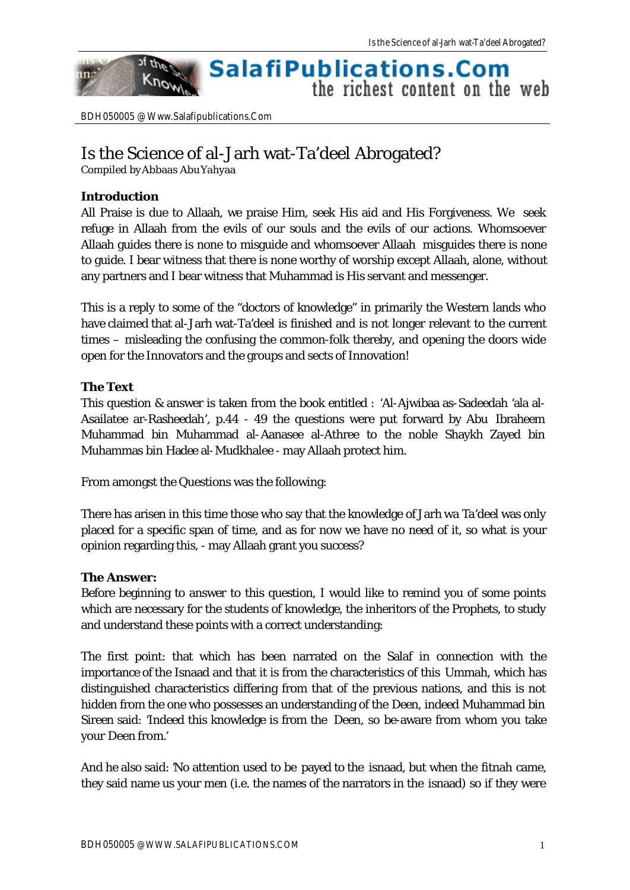#### of the **SalafiPublications.Com** Know the richest content on the web

BDH050005 @ Www.Salafipublications.Com

# Is the Science of al-Jarh wat-Ta'deel Abrogated?

Compiled by Abbaas Abu Yahyaa

### **Introduction**

nn:

All Praise is due to Allaah, we praise Him, seek His aid and His Forgiveness. We seek refuge in Allaah from the evils of our souls and the evils of our actions. Whomsoever Allaah guides there is none to misguide and whomsoever Allaah misguides there is none to guide. I bear witness that there is none worthy of worship except Allaah, alone, without any partners and I bear witness that Muhammad is His servant and messenger.

This is a reply to some of the "doctors of knowledge" in primarily the Western lands who have claimed that al-Jarh wat-Ta'deel is finished and is not longer relevant to the current times – misleading the confusing the common-folk thereby, and opening the doors wide open for the Innovators and the groups and sects of Innovation!

## **The Text**

This question & answer is taken from the book entitled : 'Al-Ajwibaa as-Sadeedah 'ala al-Asailatee ar-Rasheedah', p.44 - 49 the questions were put forward by Abu Ibraheem Muhammad bin Muhammad al-Aanasee al-Athree to the noble Shaykh Zayed bin Muhammas bin Hadee al-Mudkhalee - may Allaah protect him.

From amongst the Questions was the following:

There has arisen in this time those who say that the knowledge of Jarh wa Ta'deel was only placed for a specific span of time, and as for now we have no need of it, so what is your opinion regarding this, - may Allaah grant you success?

#### **The Answer:**

Before beginning to answer to this question, I would like to remind you of some points which are necessary for the students of knowledge, the inheritors of the Prophets, to study and understand these points with a correct understanding:

The first point: that which has been narrated on the Salaf in connection with the importance of the Isnaad and that it is from the characteristics of this Ummah, which has distinguished characteristics differing from that of the previous nations, and this is not hidden from the one who possesses an understanding of the Deen, indeed Muhammad bin Sireen said: 'Indeed this knowledge is from the Deen, so be-aware from whom you take your Deen from.'

And he also said: 'No attention used to be payed to the isnaad, but when the fitnah came, they said name us your men (i.e. the names of the narrators in the isnaad) so if they were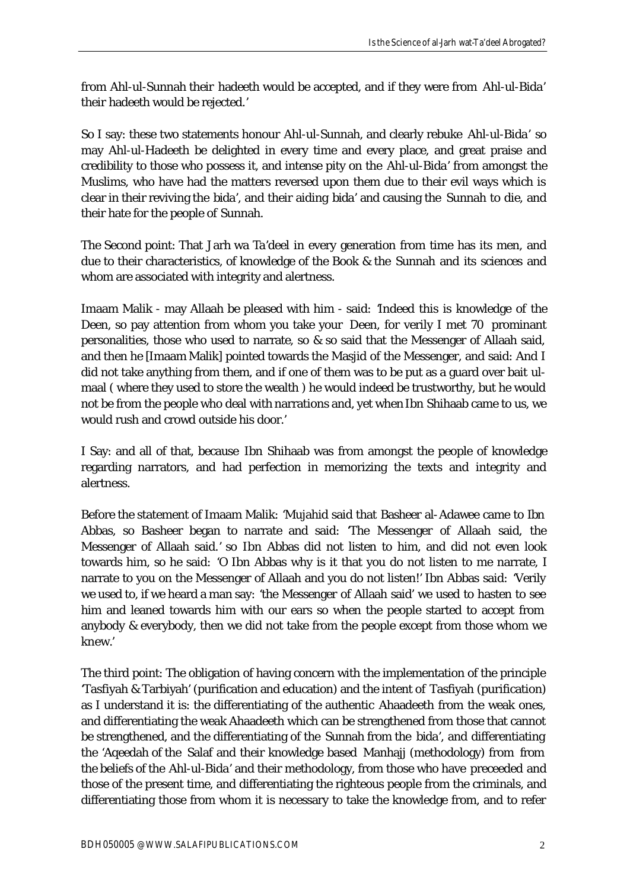from Ahl-ul-Sunnah their hadeeth would be accepted, and if they were from Ahl-ul-Bida' their hadeeth would be rejected.'

So I say: these two statements honour Ahl-ul-Sunnah, and clearly rebuke Ahl-ul-Bida' so may Ahl-ul-Hadeeth be delighted in every time and every place, and great praise and credibility to those who possess it, and intense pity on the Ahl-ul-Bida' from amongst the Muslims, who have had the matters reversed upon them due to their evil ways which is clear in their reviving the bida', and their aiding bida' and causing the Sunnah to die, and their hate for the people of Sunnah.

The Second point: That Jarh wa Ta'deel in every generation from time has its men, and due to their characteristics, of knowledge of the Book & the Sunnah and its sciences and whom are associated with integrity and alertness.

Imaam Malik - may Allaah be pleased with him - said: 'Indeed this is knowledge of the Deen, so pay attention from whom you take your Deen, for verily I met 70 prominant personalities, those who used to narrate, so & so said that the Messenger of Allaah said, and then he [Imaam Malik] pointed towards the Masjid of the Messenger, and said: And I did not take anything from them, and if one of them was to be put as a guard over bait ulmaal ( where they used to store the wealth ) he would indeed be trustworthy, but he would not be from the people who deal with narrations and, yet when Ibn Shihaab came to us, we would rush and crowd outside his door.'

I Say: and all of that, because Ibn Shihaab was from amongst the people of knowledge regarding narrators, and had perfection in memorizing the texts and integrity and alertness.

Before the statement of Imaam Malik: 'Mujahid said that Basheer al-Adawee came to Ibn Abbas, so Basheer began to narrate and said: 'The Messenger of Allaah said, the Messenger of Allaah said.' so Ibn Abbas did not listen to him, and did not even look towards him, so he said: 'O Ibn Abbas why is it that you do not listen to me narrate, I narrate to you on the Messenger of Allaah and you do not listen!' Ibn Abbas said: 'Verily we used to, if we heard a man say: 'the Messenger of Allaah said' we used to hasten to see him and leaned towards him with our ears so when the people started to accept from anybody & everybody, then we did not take from the people except from those whom we knew.'

The third point: The obligation of having concern with the implementation of the principle 'Tasfiyah & Tarbiyah' (purification and education) and the intent of Tasfiyah (purification) as I understand it is: the differentiating of the authentic Ahaadeeth from the weak ones, and differentiating the weak Ahaadeeth which can be strengthened from those that cannot be strengthened, and the differentiating of the Sunnah from the bida', and differentiating the 'Aqeedah of the Salaf and their knowledge based Manhajj (methodology) from from the beliefs of the Ahl-ul-Bida' and their methodology, from those who have preceeded and those of the present time, and differentiating the righteous people from the criminals, and differentiating those from whom it is necessary to take the knowledge from, and to refer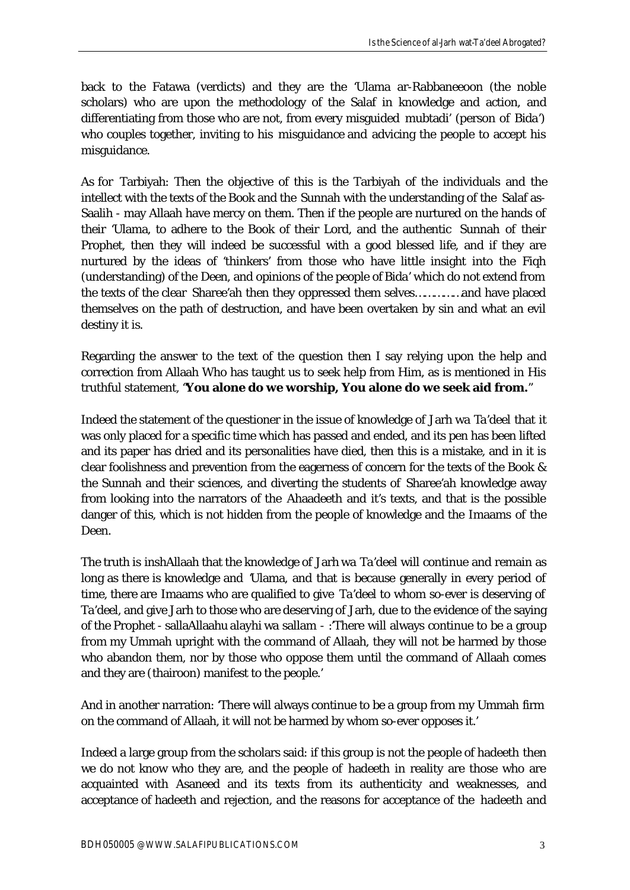back to the Fatawa (verdicts) and they are the 'Ulama ar-Rabbaneeoon (the noble scholars) who are upon the methodology of the Salaf in knowledge and action, and differentiating from those who are not, from every misguided mubtadi' (person of Bida') who couples together, inviting to his misguidance and advicing the people to accept his misguidance.

As for Tarbiyah: Then the objective of this is the Tarbiyah of the individuals and the intellect with the texts of the Book and the Sunnah with the understanding of the Salaf as-Saalih - may Allaah have mercy on them. Then if the people are nurtured on the hands of their 'Ulama, to adhere to the Book of their Lord, and the authentic Sunnah of their Prophet, then they will indeed be successful with a good blessed life, and if they are nurtured by the ideas of 'thinkers' from those who have little insight into the Fiqh (understanding) of the Deen, and opinions of the people of Bida' which do not extend from the texts of the clear Sharee'ah then they oppressed them selves……………and have placed themselves on the path of destruction, and have been overtaken by sin and what an evil destiny it is.

Regarding the answer to the text of the question then I say relying upon the help and correction from Allaah Who has taught us to seek help from Him, as is mentioned in His truthful statement, "**You alone do we worship, You alone do we seek aid from.**"

Indeed the statement of the questioner in the issue of knowledge of Jarh wa Ta'deel that it was only placed for a specific time which has passed and ended, and its pen has been lifted and its paper has dried and its personalities have died, then this is a mistake, and in it is clear foolishness and prevention from the eagerness of concern for the texts of the Book & the Sunnah and their sciences, and diverting the students of Sharee'ah knowledge away from looking into the narrators of the Ahaadeeth and it's texts, and that is the possible danger of this, which is not hidden from the people of knowledge and the Imaams of the Deen.

The truth is inshAllaah that the knowledge of Jarh wa Ta'deel will continue and remain as long as there is knowledge and 'Ulama, and that is because generally in every period of time, there are Imaams who are qualified to give Ta'deel to whom so-ever is deserving of Ta'deel, and give Jarh to those who are deserving of Jarh, due to the evidence of the saying of the Prophet - sallaAllaahu alayhi wa sallam - :'There will always continue to be a group from my Ummah upright with the command of Allaah, they will not be harmed by those who abandon them, nor by those who oppose them until the command of Allaah comes and they are (thairoon) manifest to the people.'

And in another narration: 'There will always continue to be a group from my Ummah firm on the command of Allaah, it will not be harmed by whom so-ever opposes it.'

Indeed a large group from the scholars said: if this group is not the people of hadeeth then we do not know who they are, and the people of hadeeth in reality are those who are acquainted with Asaneed and its texts from its authenticity and weaknesses, and acceptance of hadeeth and rejection, and the reasons for acceptance of the hadeeth and